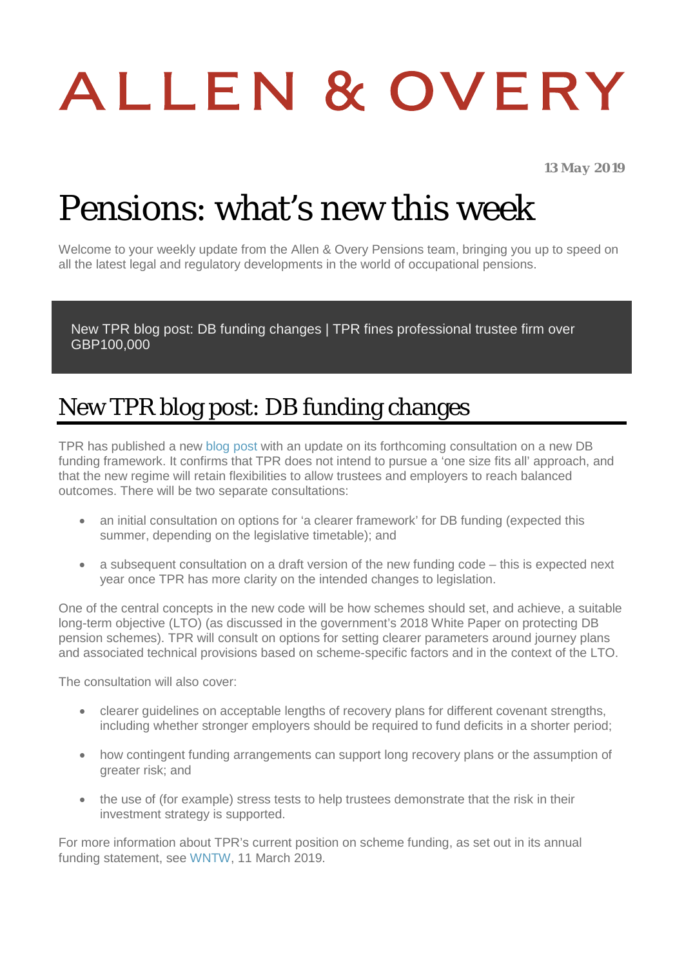# ALLEN & OVERY

*13 May 2019*

# Pensions: what's new this week

Welcome to your weekly update from the Allen & Overy Pensions team, bringing you up to speed on all the latest legal and regulatory developments in the world of occupational pensions.

[New TPR blog post: DB funding changes](#page-0-0) | [TPR fines professional trustee firm over](#page-1-0)  [GBP100,000](#page-1-0) 

#### <span id="page-0-0"></span>New TPR blog post: DB funding changes

TPR has published a new [blog post](https://blog.thepensionsregulator.gov.uk/2019/05/09/protecting-db-savers-our-expectations-are-clear/#more-1053) with an update on its forthcoming consultation on a new DB funding framework. It confirms that TPR does not intend to pursue a 'one size fits all' approach, and that the new regime will retain flexibilities to allow trustees and employers to reach balanced outcomes. There will be two separate consultations:

- an initial consultation on options for 'a clearer framework' for DB funding (expected this summer, depending on the legislative timetable); and
- a subsequent consultation on a draft version of the new funding code this is expected next year once TPR has more clarity on the intended changes to legislation.

One of the central concepts in the new code will be how schemes should set, and achieve, a suitable long-term objective (LTO) (as discussed in the government's 2018 White Paper on protecting DB pension schemes). TPR will consult on options for setting clearer parameters around journey plans and associated technical provisions based on scheme-specific factors and in the context of the LTO.

The consultation will also cover:

- clearer guidelines on acceptable lengths of recovery plans for different covenant strengths, including whether stronger employers should be required to fund deficits in a shorter period;
- how contingent funding arrangements can support long recovery plans or the assumption of greater risk; and
- the use of (for example) stress tests to help trustees demonstrate that the risk in their investment strategy is supported.

For more information about TPR's current position on scheme funding, as set out in its annual funding statement, see [WNTW,](https://www.aohub.com/aohub/publications/pensions-whats-new-this-week_95?nav=FRbANEucS95NMLRN47z%2BeeOgEFCt8EGQ71hKXzqW2Ec%3D&key=BcJlhLtdCv6%2FJTDZxvL23TQa3JHL2AIGr93BnQjo2SkGJpG9xDX7S2thDpAQsCconWHAwe6cJTkcVZ3GNYg3kH67L3C3Rzay) 11 March 2019.